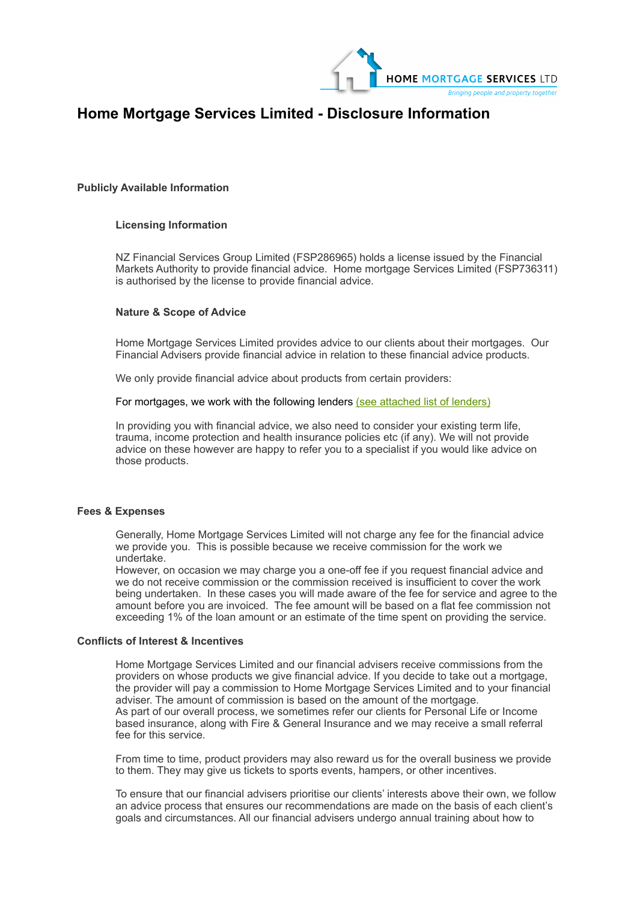

# **Home Mortgage Services Limited - Disclosure Information**

# **Publicly Available Information**

# **Licensing Information**

NZ Financial Services Group Limited (FSP286965) holds a license issued by the Financial Markets Authority to provide financial advice. Home mortgage Services Limited (FSP736311) is authorised by the license to provide financial advice.

# **Nature & Scope of Advice**

Home Mortgage Services Limited provides advice to our clients about their mortgages. Our Financial Advisers provide financial advice in relation to these financial advice products.

We only provide financial advice about products from certain providers:

For mortgages, we work with the following lenders [\(see attached list of lenders\)](https://www.limegroup.co.nz/disclosure/#lenders)

In providing you with financial advice, we also need to consider your existing term life, trauma, income protection and health insurance policies etc (if any). We will not provide advice on these however are happy to refer you to a specialist if you would like advice on those products.

# **Fees & Expenses**

Generally, Home Mortgage Services Limited will not charge any fee for the financial advice we provide you. This is possible because we receive commission for the work we undertake.

However, on occasion we may charge you a one-off fee if you request financial advice and we do not receive commission or the commission received is insufficient to cover the work being undertaken. In these cases you will made aware of the fee for service and agree to the amount before you are invoiced. The fee amount will be based on a flat fee commission not exceeding 1% of the loan amount or an estimate of the time spent on providing the service.

#### **Conflicts of Interest & Incentives**

Home Mortgage Services Limited and our financial advisers receive commissions from the providers on whose products we give financial advice. If you decide to take out a mortgage, the provider will pay a commission to Home Mortgage Services Limited and to your financial adviser. The amount of commission is based on the amount of the mortgage. As part of our overall process, we sometimes refer our clients for Personal Life or Income based insurance, along with Fire & General Insurance and we may receive a small referral fee for this service.

From time to time, product providers may also reward us for the overall business we provide to them. They may give us tickets to sports events, hampers, or other incentives.

To ensure that our financial advisers prioritise our clients' interests above their own, we follow an advice process that ensures our recommendations are made on the basis of each client's goals and circumstances. All our financial advisers undergo annual training about how to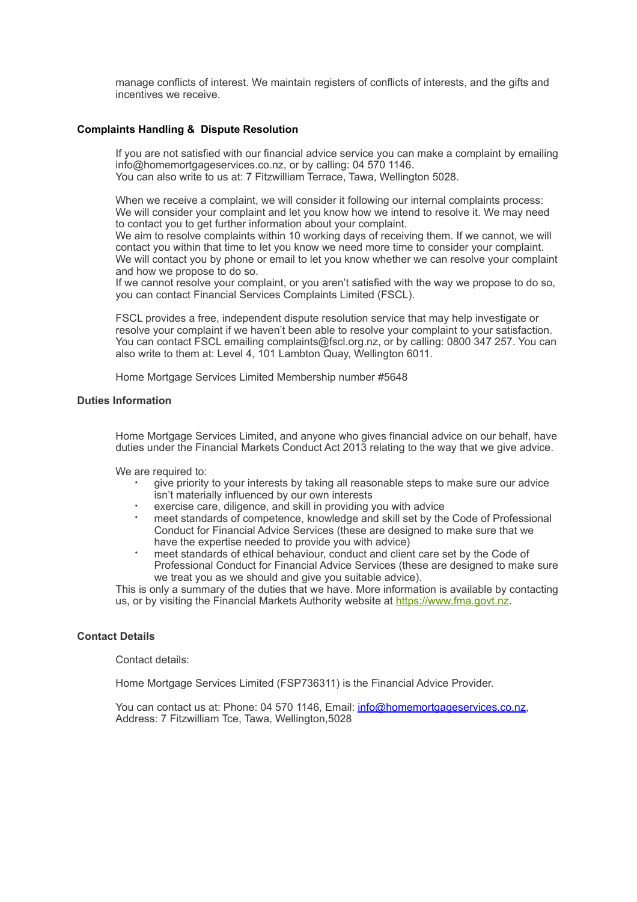manage conflicts of interest. We maintain registers of conflicts of interests, and the gifts and incentives we receive.

# **Complaints Handling & Dispute Resolution**

If you are not satisfied with our financial advice service you can make a complaint by emailing info@homemortgageservices.co.nz, or by calling: 04 570 1146. You can also write to us at: 7 Fitzwilliam Terrace, Tawa, Wellington 5028.

When we receive a complaint, we will consider it following our internal complaints process: We will consider your complaint and let you know how we intend to resolve it. We may need to contact you to get further information about your complaint.

We aim to resolve complaints within 10 working days of receiving them. If we cannot, we will contact you within that time to let you know we need more time to consider your complaint. We will contact you by phone or email to let you know whether we can resolve your complaint and how we propose to do so.

If we cannot resolve your complaint, or you aren't satisfied with the way we propose to do so, you can contact Financial Services Complaints Limited (FSCL).

FSCL provides a free, independent dispute resolution service that may help investigate or resolve your complaint if we haven't been able to resolve your complaint to your satisfaction. You can contact FSCL emailing complaints@fscl.org.nz, or by calling: 0800 347 257. You can also write to them at: Level 4, 101 Lambton Quay, Wellington 6011.

Home Mortgage Services Limited Membership number #5648

# **Duties Information**

Home Mortgage Services Limited, and anyone who gives financial advice on our behalf, have duties under the Financial Markets Conduct Act 2013 relating to the way that we give advice.

We are required to:

- give priority to your interests by taking all reasonable steps to make sure our advice isn't materially influenced by our own interests
- exercise care, diligence, and skill in providing you with advice
- meet standards of competence, knowledge and skill set by the Code of Professional Conduct for Financial Advice Services (these are designed to make sure that we have the expertise needed to provide you with advice)
- meet standards of ethical behaviour, conduct and client care set by the Code of Professional Conduct for Financial Advice Services (these are designed to make sure we treat you as we should and give you suitable advice).

This is only a summary of the duties that we have. More information is available by contacting us, or by visiting the Financial Markets Authority website at [https://www.fma.govt.nz](https://www.fma.govt.nz/).

# **Contact Details**

Contact details:

Home Mortgage Services Limited (FSP736311) is the Financial Advice Provider.

You can contact us at: Phone: 04 570 1146, Email: [info@homemortgageservices.co.nz](mailto:info@homemortgageservices.co.nz), Address: 7 Fitzwilliam Tce, Tawa, Wellington,5028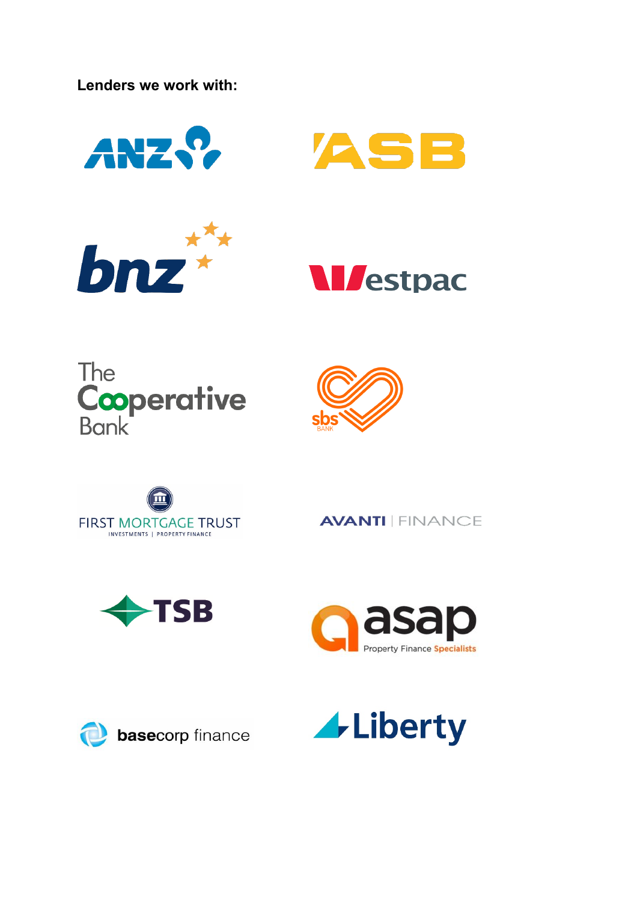**Lenders we work with:** 















**AVANTI | FINANCE**